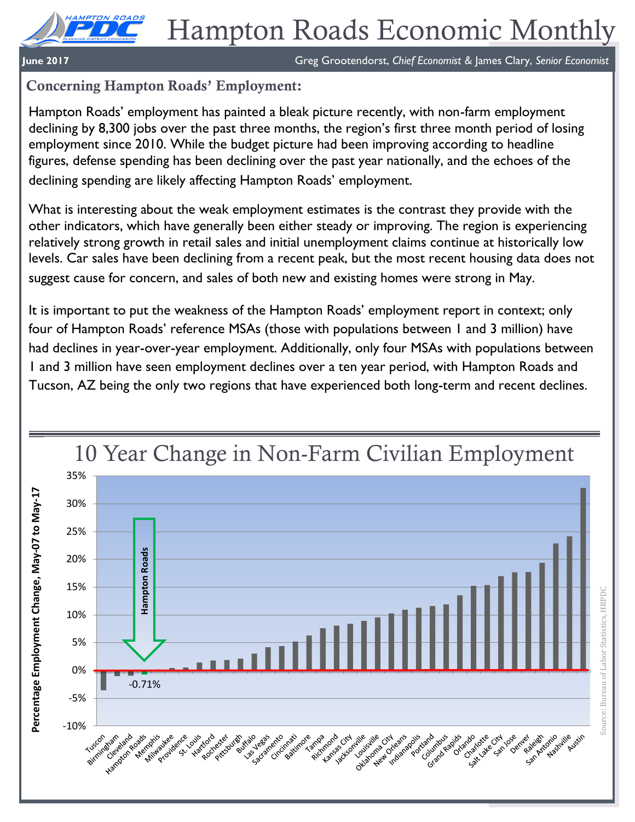**June 2017** Greg Grootendorst, *Chief Economist &* James Clary, *Senior Economist*

# **Concerning Hampton Roads' Employment:**

Hampton Roads' employment has painted a bleak picture recently, with non-farm employment declining by 8,300 jobs over the past three months, the region's first three month period of losing employment since 2010. While the budget picture had been improving according to headline figures, defense spending has been declining over the past year nationally, and the echoes of the declining spending are likely affecting Hampton Roads' employment.

What is interesting about the weak employment estimates is the contrast they provide with the other indicators, which have generally been either steady or improving. The region is experiencing relatively strong growth in retail sales and initial unemployment claims continue at historically low levels. Car sales have been declining from a recent peak, but the most recent housing data does not suggest cause for concern, and sales of both new and existing homes were strong in May.

It is important to put the weakness of the Hampton Roads' employment report in context; only four of Hampton Roads' reference MSAs (those with populations between 1 and 3 million) have had declines in year-over-year employment. Additionally, only four MSAs with populations between 1 and 3 million have seen employment declines over a ten year period, with Hampton Roads and Tucson, AZ being the only two regions that have experienced both long-term and recent declines.



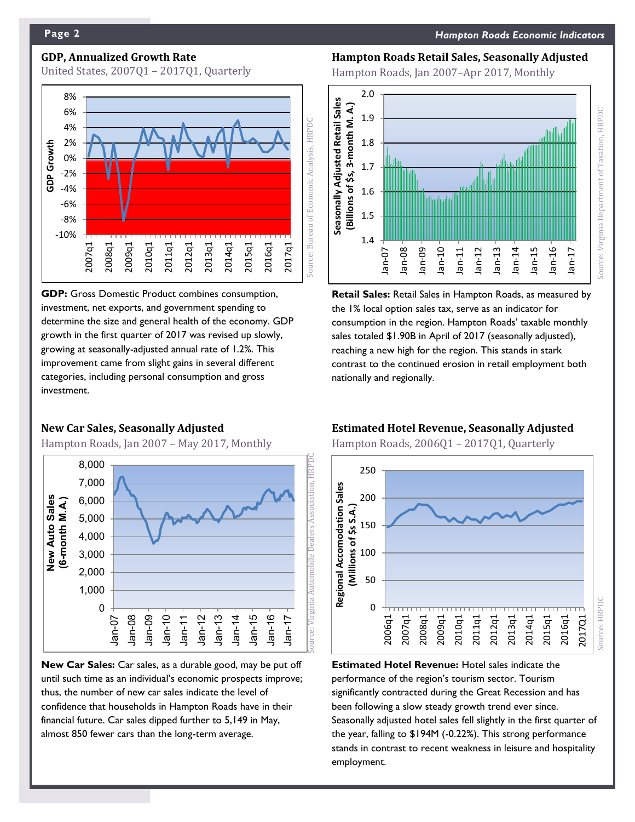# **GDP, Annualized Growth Rate**

United States, 2007Q1 – 2017Q1, Quarterly



**GDP:** Gross Domestic Product combines consumption, investment, net exports, and government spending to determine the size and general health of the economy. GDP growth in the first quarter of 2017 was revised up slowly, growing at seasonally-adjusted annual rate of 1.2%. This improvement came from slight gains in several different categories, including personal consumption and gross investment.

## **New Car Sales, Seasonally Adjusted**

Hampton Roads, Jan 2007 – May 2017, Monthly



**New Car Sales:** Car sales, as a durable good, may be put off until such time as an individual's economic prospects improve; thus, the number of new car sales indicate the level of confidence that households in Hampton Roads have in their financial future. Car sales dipped further to 5,149 in May, almost 850 fewer cars than the long-term average.

### **Hampton Roads Retail Sales, Seasonally Adjusted**

Hampton Roads, Jan 2007–Apr 2017, Monthly



**Retail Sales:** Retail Sales in Hampton Roads, as measured by the 1% local option sales tax, serve as an indicator for consumption in the region. Hampton Roads' taxable monthly sales totaled \$1.90B in April of 2017 (seasonally adjusted), reaching a new high for the region. This stands in stark contrast to the continued erosion in retail employment both nationally and regionally.

# **Estimated Hotel Revenue, Seasonally Adjusted**

Hampton Roads, 2006Q1 – 2017Q1, Quarterly



**Estimated Hotel Revenue:** Hotel sales indicate the performance of the region's tourism sector. Tourism significantly contracted during the Great Recession and has been following a slow steady growth trend ever since. Seasonally adjusted hotel sales fell slightly in the first quarter of the year, falling to \$194M (-0.22%). This strong performance stands in contrast to recent weakness in leisure and hospitality employment.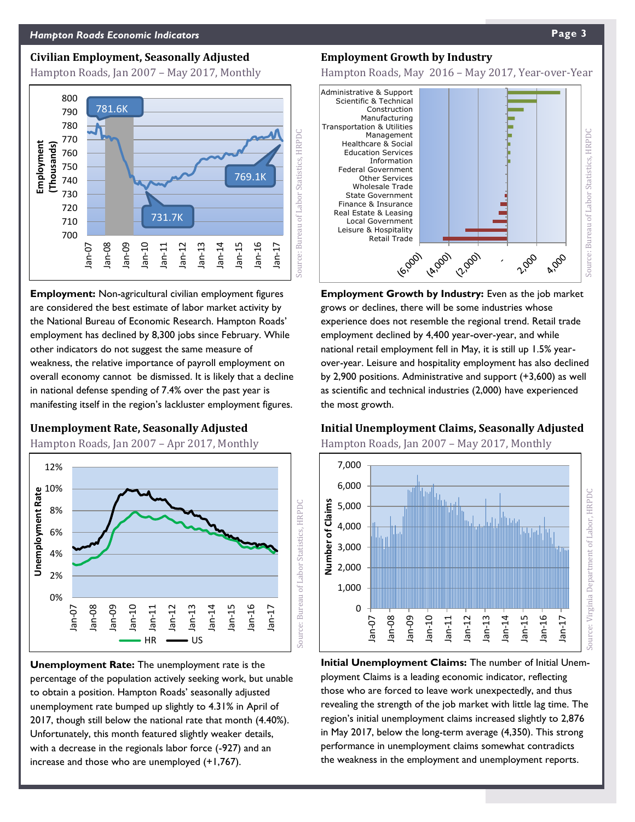#### **Civilian Employment, Seasonally Adjusted**

Hampton Roads, Jan 2007 – May 2017, Monthly



**Employment:** Non-agricultural civilian employment figures are considered the best estimate of labor market activity by the National Bureau of Economic Research. Hampton Roads' employment has declined by 8,300 jobs since February. While other indicators do not suggest the same measure of weakness, the relative importance of payroll employment on overall economy cannot be dismissed. It is likely that a decline in national defense spending of 7.4% over the past year is manifesting itself in the region's lackluster employment figures.

**Unemployment Rate, Seasonally Adjusted**

Hampton Roads, Jan 2007 – Apr 2017, Monthly



**Unemployment Rate:** The unemployment rate is the percentage of the population actively seeking work, but unable to obtain a position. Hampton Roads' seasonally adjusted unemployment rate bumped up slightly to 4.31% in April of 2017, though still below the national rate that month (4.40%). Unfortunately, this month featured slightly weaker details, with a decrease in the regionals labor force (-927) and an increase and those who are unemployed (+1,767).

#### **Employment Growth by Industry**

Hampton Roads, May 2016 – May 2017, Year-over-Year



**Employment Growth by Industry:** Even as the job market grows or declines, there will be some industries whose experience does not resemble the regional trend. Retail trade employment declined by 4,400 year-over-year, and while national retail employment fell in May, it is still up 1.5% yearover-year. Leisure and hospitality employment has also declined by 2,900 positions. Administrative and support (+3,600) as well as scientific and technical industries (2,000) have experienced the most growth.

#### **Initial Unemployment Claims, Seasonally Adjusted**

Hampton Roads, Jan 2007 – May 2017, Monthly



**Initial Unemployment Claims:** The number of Initial Unemployment Claims is a leading economic indicator, reflecting those who are forced to leave work unexpectedly, and thus revealing the strength of the job market with little lag time. The region's initial unemployment claims increased slightly to 2,876 in May 2017, below the long-term average (4,350). This strong performance in unemployment claims somewhat contradicts the weakness in the employment and unemployment reports.